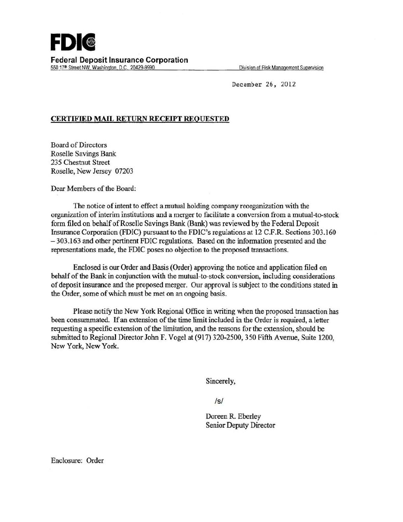Dec ember 26, 2012

## CERTIFIED MAIL RETURN RECEIPT REQUESTED

Board of Directors Roselle Savings Bank 235 Chestnut Street Roselle, New Jersey 07203

Dear Members of the Board:

The notice of intent to effect a mutual holding company reorganization with the organization of interim institutions and a merger to facilitate a conversion from a mutual-to-stock form filed on behalf of Roselle Savings Bank (Bank) was reviewed by the Federal Deposit Insurance Corporation (FDIC) pursuant to the FDIC's regulations at 12 C.F.R. Sections 303.160 -303.163 and other pertinent FDIC regulations. Based on the infonnation presented and the representations made, the FDIC poses no objection to the proposed transactions.

Enclosed is our Order and Basis (Order) approving the notice and application filed on behalf of the Bank in conjunction with the mutual-to-stock conversion, including considerations of deposit insurance and the proposed merger. Our approval is subject to the conditions stated in the Order, some of which must be met on an ongoing basis.

Please notify the New York Regional Office in writing when the proposed transaction has been consummated. If an extension of the time limit included in the Order is required, a letter requesting a specific extension of the limitation, and the reasons for the extension, should be submitted to Regional Director John F. Vogel at (917) 320-2500, 350 Fifth Avenue, Suite 1200, New York, New York.

Sincerely,

 $/s/$ 

Doreen R. Eberley Senior Deputy Director

Enclosure: Order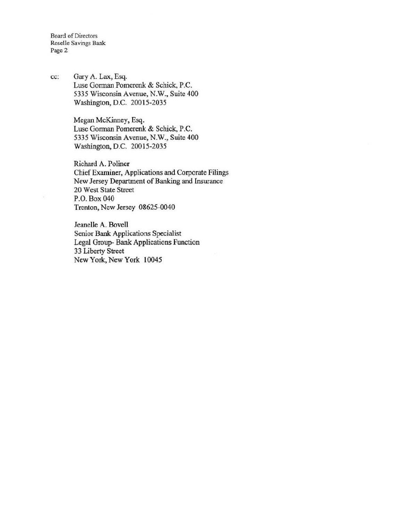Board of Directors Roselle Savings Bank Page 2

cc: Gary A. Lax, Esq. Luse Gorman Pomerenk & Schick, P.C. 5335 Wisconsin Avenue, N.W., Suite 400 Washington, D.C. 20015-2035

> Megan McKinney, Esq. Luse Gorman Pomerenk & Schick, P.C. 5335 Wisconsin Avenue, N.W., Suite 400 Washington, D.C. 20015-2035

Richard A. Poliner Chief Examiner, Applications and Corporate Filings New Jersey Department of Banking and Insurance 20 West State Street P.O. Box 040 Trenton, New Jersey 08625-0040

Jeanelle A. Bovell Senior Bank Applications Specialist Legal Group- Bank Applications Function 33 Liberty Street New York, New York 10045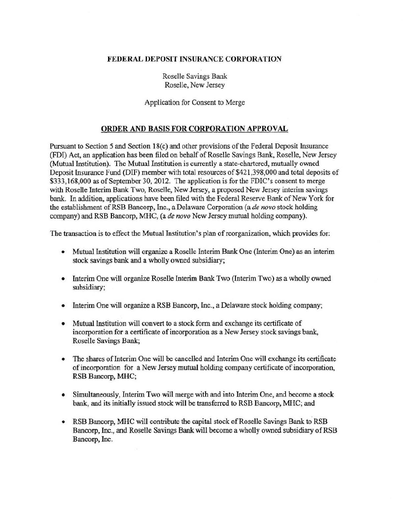## FEDERAL DEPOSIT INSURANCE CORPORATION

Roselle Savings Bank Roselle, New Jersey

Application for Consent to Merge

## ORDER AND BASIS FOR CORPORATION APPROVAL

Pursuant to Section 5 and Section 18(c) and other provisions of the Federal Deposit Insurance (FDI) Act, an application has been filed on behalf of Roselle Savings Bank, Roselle, New Jersey (Mutual Institution). The Mutual Institution is currently a state-chartered, mutually owned Deposit Insurance Fund (DIF) member with total resources of \$421 ,398,000 and total deposits of \$333,168,000 as of September 30, 2012. The application is for the FDIC's consent to merge with Roselle Interim Bank Two, Roselle, New Jersey, a proposed New Jersey interim savings bank. In addition, applications have been filed with the Federal Reserve Bank of New York for the establishment of RSB Bancorp, Inc., a Delaware Corporation (a *de novo* stock holding company) and RSB Bancorp, MHC, (a *de novo* New Jersey mutual holding company).

The transaction is to effect the Mutual Institution's plan of reorganization, which provides for:

- Mutual Institution will organize a Roselle Interim Bank One (Interim One) as an interim stock savings bank and a wholly owned subsidiary;
- Interim One will organize Roselle Interim Bank Two (Interim Two) as a wholly owned subsidiary;
- Interim One will organize a RSB Bancorp, Inc., a Delaware stock holding company;
- Mutual Institution will convert to a stock form and exchange its certificate of incorporation for a certificate of incorporation as a New Jersey stock savings bank, Roselle Savings Bank;
- The shares of Interim One will be cancelled and Interim One will exchange its certificate of incorporation for a New Jersey mutual holding company certificate of incorporation, RSB Bancorp, MHC;
- Simultaneously, Interim Two will merge with and into Interim One, and become a stock bank, and its initially issued stock wiU be transferred to RSB Bancorp, MHC; and
- RSB Bancorp, MHC will contribute the capital stock of Roselle Savings Bank to RSB Bancorp, Inc., and Roselle Savings Bank will become a wholly owned subsidiary ofRSB Bancorp, Inc.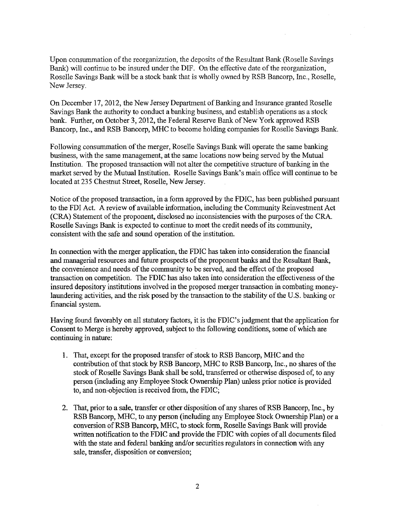Upon consummation of the reorganization, the deposits of the Resultant Bank (Roselle Savings Bank) will continue to be insured under the DIF. On the effective date of the reorganization, Roselle Savings Bank will be a stock bank that is wholly owned by RSB Bancorp, Inc., Roselle, New Jersey.

On December 17, 2012, the New Jersey Department of Banking and Insurance granted Roselle Savings Bank the authority to conduct a banking business, and establish operations as a stock bank. Further, on October 3, 2012, the Federal Reserve Bank of New York approved RSB Bancorp, Inc., and RSB Bancorp, MHC to become holding companies for Roselle Savings Bank.

Following consummation of the merger, Roselle Savings Bank will operate the same banking business, with the same management, at the same locations now being served by the Mutual Institution. The proposed transaction will not alter the competitive structure of banking in the market served by the Mutual Institution. Roselle Savings Bank's main office will continue to be located at 235 Chestnut Street, Roselle, New Jersey.

Notice of the proposed transaction, in a form approved by the FDIC, has been published pursuant to the FDI Act. A review of available information, including the Community Reinvestment Act (CRA) Statement of the proponent, disclosed no inconsistencies with the purposes of the CRA. Roselle Savings Bank is expected to continue to meet the credit needs of its community, consistent with the safe and sound operation of the institution.

In connection with the merger application, the FDIC has taken into consideration the financial and managerial resources and future prospects of the proponent banks and the Resultant Bank, the convenience and needs of the community to be served, and the effect of the proposed transaction on competition. The FDIC has also taken into consideration the effectiveness of the insured depository institutions involved in the proposed merger transaction in combating moneylaundering activities, and the risk posed by the transaction to the stability of the U.S. banking or financial system.

Having found favorably on all statutory factors, it is the FDIC's judgment that the application for Consent to Merge is hereby approved, subject to the following conditions, some of which are continuing in nature:

- 1. That, except for the proposed transfer of stock to RSB Bancorp, MHC and the contribution of that stock by RSB Bancorp, MHC to RSB Bancorp, Inc., no shares of the stock of Roselle Savings Bank shall be sold, transferred or otherwise disposed of, to any person (including any Employee Stock Ownership Plan) unless prior notice is provided to, and non-objection is received from, the FDIC;
- 2. That, prior to a sale, transfer or other disposition of any shares of RSB Bancorp, Inc., by RSB Bancorp, MHC, to any person (including any Employee Stock Ownership Plan) or a conversion ofRSB Bancorp, MHC, to stock form, Roselle Savings Bank will provide written notification to the FDIC and provide the FDIC with copies of all documents filed with the state and federal banking and/or securities regulators in connection with any sale, transfer, disposition or conversion;